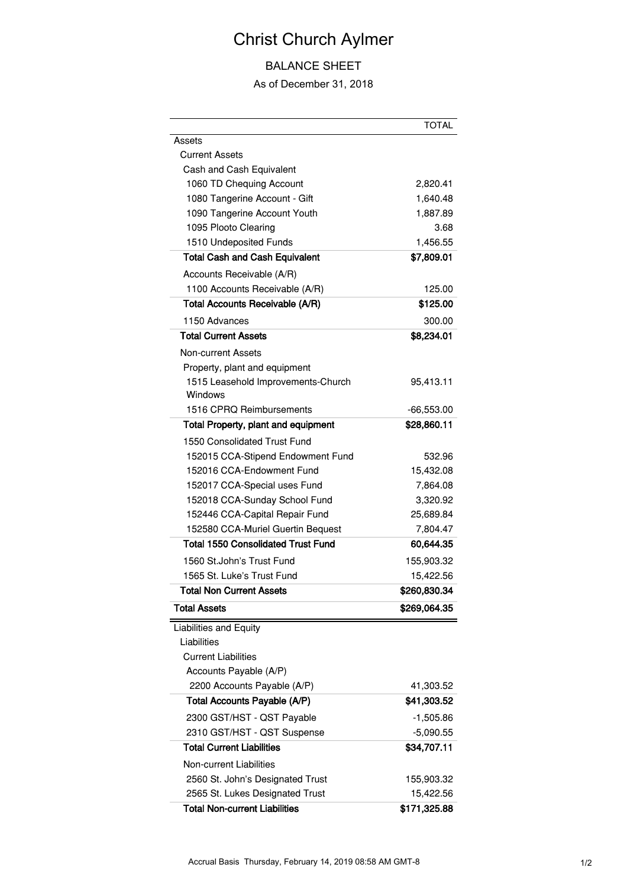## Christ Church Aylmer

## BALANCE SHEET

## As of December 31, 2018

|                                            | TOTAL        |
|--------------------------------------------|--------------|
| Assets                                     |              |
| <b>Current Assets</b>                      |              |
| Cash and Cash Equivalent                   |              |
| 1060 TD Chequing Account                   | 2,820.41     |
| 1080 Tangerine Account - Gift              | 1,640.48     |
| 1090 Tangerine Account Youth               | 1,887.89     |
| 1095 Plooto Clearing                       | 3.68         |
| 1510 Undeposited Funds                     | 1,456.55     |
| <b>Total Cash and Cash Equivalent</b>      | \$7,809.01   |
| Accounts Receivable (A/R)                  |              |
| 1100 Accounts Receivable (A/R)             | 125.00       |
| <b>Total Accounts Receivable (A/R)</b>     | \$125.00     |
| 1150 Advances                              | 300.00       |
| <b>Total Current Assets</b>                | \$8,234.01   |
| Non-current Assets                         |              |
| Property, plant and equipment              |              |
| 1515 Leasehold Improvements-Church         | 95,413.11    |
| Windows                                    |              |
| 1516 CPRO Reimbursements                   | $-66,553.00$ |
| <b>Total Property, plant and equipment</b> | \$28,860.11  |
| 1550 Consolidated Trust Fund               |              |
| 152015 CCA-Stipend Endowment Fund          | 532.96       |
| 152016 CCA-Endowment Fund                  | 15,432.08    |
| 152017 CCA-Special uses Fund               | 7,864.08     |
| 152018 CCA-Sunday School Fund              | 3,320.92     |
| 152446 CCA-Capital Repair Fund             | 25,689.84    |
| 152580 CCA-Muriel Guertin Bequest          | 7,804.47     |
| <b>Total 1550 Consolidated Trust Fund</b>  | 60,644.35    |
| 1560 St.John's Trust Fund                  | 155,903.32   |
| 1565 St. Luke's Trust Fund                 | 15,422.56    |
| <b>Total Non Current Assets</b>            | \$260,830.34 |
| <b>Total Assets</b>                        | \$269,064.35 |
| Liabilities and Equity                     |              |
| Liabilities                                |              |
| <b>Current Liabilities</b>                 |              |
| Accounts Payable (A/P)                     |              |
| 2200 Accounts Payable (A/P)                | 41,303.52    |
| <b>Total Accounts Payable (A/P)</b>        | \$41,303.52  |
| 2300 GST/HST - QST Payable                 | $-1,505.86$  |
| 2310 GST/HST - QST Suspense                | $-5,090.55$  |
| <b>Total Current Liabilities</b>           | \$34,707.11  |
| <b>Non-current Liabilities</b>             |              |
| 2560 St. John's Designated Trust           | 155,903.32   |
| 2565 St. Lukes Designated Trust            | 15,422.56    |
| <b>Total Non-current Liabilities</b>       | \$171,325.88 |